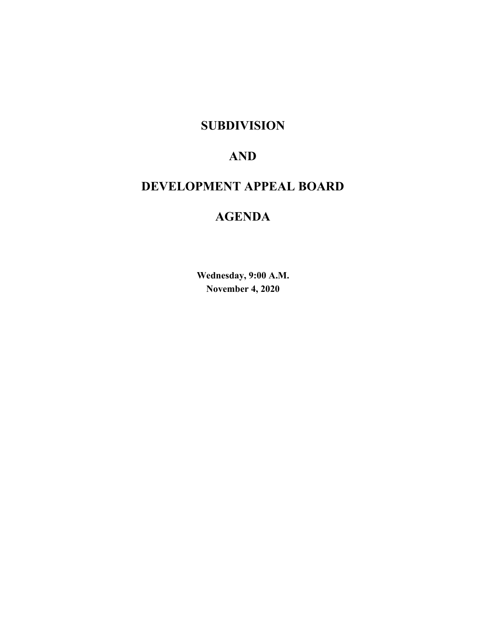## **SUBDIVISION**

## **AND**

## **DEVELOPMENT APPEAL BOARD**

## **AGENDA**

**Wednesday, 9:00 A.M. November 4, 2020**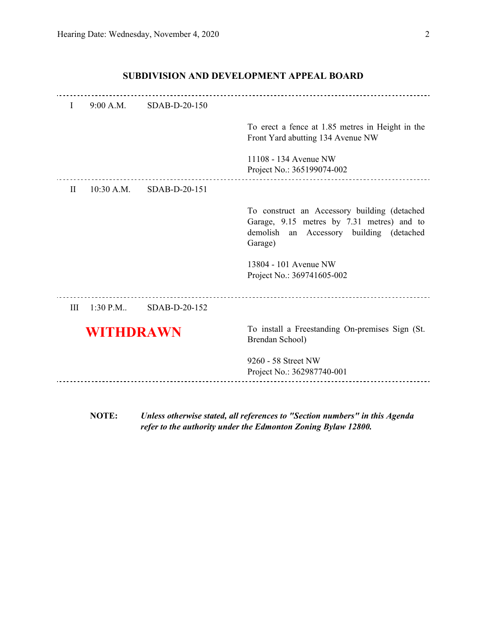## I 9:00 A.M. SDAB-D-20-150 To erect a fence at 1.85 metres in Height in the Front Yard abutting 134 Avenue NW 11108 - 134 Avenue NW Project No.: 365199074-002 ----------------------------- II 10:30 A.M. SDAB-D-20-151 To construct an Accessory building (detached Garage, 9.15 metres by 7.31 metres) and to demolish an Accessory building (detached Garage) 13804 - 101 Avenue NW Project No.: 369741605-002 III 1:30 P.M.. SDAB-D-20-152 **WITHDRAWN** To install a Freestanding On-premises Sign (St. Brendan School)

#### **SUBDIVISION AND DEVELOPMENT APPEAL BOARD**

- 9260 58 Street NW Project No.: 362987740-001
	- **NOTE:** *Unless otherwise stated, all references to "Section numbers" in this Agenda refer to the authority under the Edmonton Zoning Bylaw 12800.*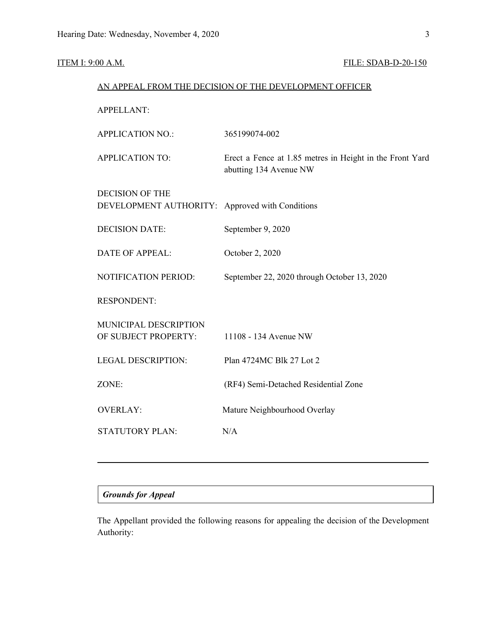## **ITEM I: 9:00 A.M. FILE: SDAB-D-20-150**

|                                                  | AN APPEAL FROM THE DECISION OF THE DEVELOPMENT OFFICER                             |
|--------------------------------------------------|------------------------------------------------------------------------------------|
| <b>APPELLANT:</b>                                |                                                                                    |
| <b>APPLICATION NO.:</b>                          | 365199074-002                                                                      |
| <b>APPLICATION TO:</b>                           | Erect a Fence at 1.85 metres in Height in the Front Yard<br>abutting 134 Avenue NW |
| <b>DECISION OF THE</b><br>DEVELOPMENT AUTHORITY: | Approved with Conditions                                                           |
| <b>DECISION DATE:</b>                            | September 9, 2020                                                                  |
| <b>DATE OF APPEAL:</b>                           | October 2, 2020                                                                    |
| NOTIFICATION PERIOD:                             | September 22, 2020 through October 13, 2020                                        |
| <b>RESPONDENT:</b>                               |                                                                                    |
| MUNICIPAL DESCRIPTION<br>OF SUBJECT PROPERTY:    | 11108 - 134 Avenue NW                                                              |
| <b>LEGAL DESCRIPTION:</b>                        | Plan 4724MC Blk 27 Lot 2                                                           |
| ZONE:                                            | (RF4) Semi-Detached Residential Zone                                               |
| <b>OVERLAY:</b>                                  | Mature Neighbourhood Overlay                                                       |
| <b>STATUTORY PLAN:</b>                           | N/A                                                                                |
|                                                  |                                                                                    |

### *Grounds for Appeal*

The Appellant provided the following reasons for appealing the decision of the Development Authority: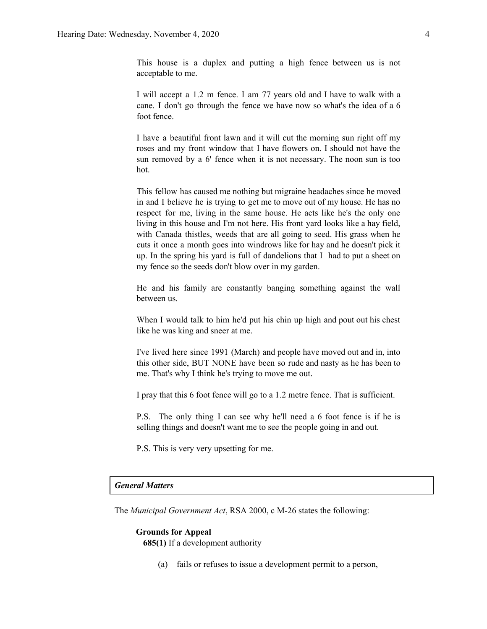This house is a duplex and putting a high fence between us is not acceptable to me.

I will accept a 1.2 m fence. I am 77 years old and I have to walk with a cane. I don't go through the fence we have now so what's the idea of a 6 foot fence.

I have a beautiful front lawn and it will cut the morning sun right off my roses and my front window that I have flowers on. I should not have the sun removed by a 6' fence when it is not necessary. The noon sun is too hot.

This fellow has caused me nothing but migraine headaches since he moved in and I believe he is trying to get me to move out of my house. He has no respect for me, living in the same house. He acts like he's the only one living in this house and I'm not here. His front yard looks like a hay field, with Canada thistles, weeds that are all going to seed. His grass when he cuts it once a month goes into windrows like for hay and he doesn't pick it up. In the spring his yard is full of dandelions that I had to put a sheet on my fence so the seeds don't blow over in my garden.

He and his family are constantly banging something against the wall between us.

When I would talk to him he'd put his chin up high and pout out his chest like he was king and sneer at me.

I've lived here since 1991 (March) and people have moved out and in, into this other side, BUT NONE have been so rude and nasty as he has been to me. That's why I think he's trying to move me out.

I pray that this 6 foot fence will go to a 1.2 metre fence. That is sufficient.

P.S. The only thing I can see why he'll need a 6 foot fence is if he is selling things and doesn't want me to see the people going in and out.

P.S. This is very very upsetting for me.

#### *General Matters*

The *Municipal Government Act*, RSA 2000, c M-26 states the following:

#### **Grounds for Appeal**

**685(1)** If a development authority

(a) fails or refuses to issue a development permit to a person,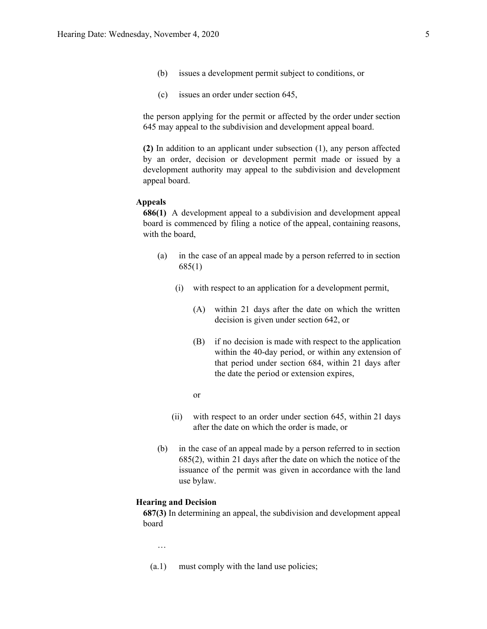- (b) issues a development permit subject to conditions, or
- (c) issues an order under section 645,

the person applying for the permit or affected by the order under section 645 may appeal to the subdivision and development appeal board.

**(2)** In addition to an applicant under subsection (1), any person affected by an order, decision or development permit made or issued by a development authority may appeal to the subdivision and development appeal board.

#### **Appeals**

**686(1)** A development appeal to a subdivision and development appeal board is commenced by filing a notice of the appeal, containing reasons, with the board,

- (a) in the case of an appeal made by a person referred to in section 685(1)
	- (i) with respect to an application for a development permit,
		- (A) within 21 days after the date on which the written decision is given under section 642, or
		- (B) if no decision is made with respect to the application within the 40-day period, or within any extension of that period under section 684, within 21 days after the date the period or extension expires,
		- or
	- (ii) with respect to an order under section 645, within 21 days after the date on which the order is made, or
- (b) in the case of an appeal made by a person referred to in section 685(2), within 21 days after the date on which the notice of the issuance of the permit was given in accordance with the land use bylaw.

#### **Hearing and Decision**

**687(3)** In determining an appeal, the subdivision and development appeal board

…

(a.1) must comply with the land use policies;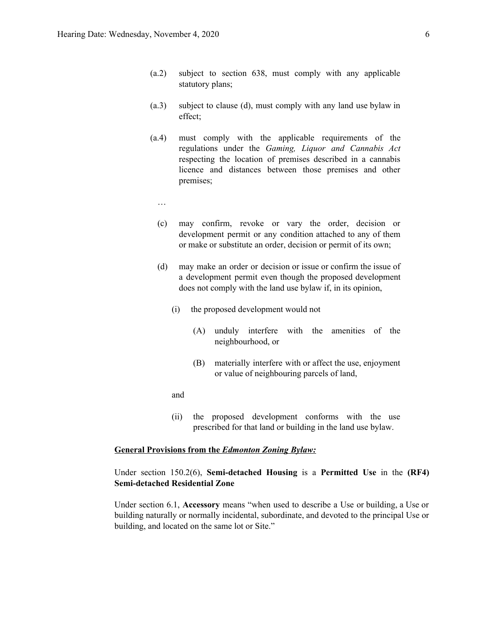- (a.2) subject to section 638, must comply with any applicable statutory plans;
- (a.3) subject to clause (d), must comply with any land use bylaw in effect;
- (a.4) must comply with the applicable requirements of the regulations under the *Gaming, Liquor and Cannabis Act* respecting the location of premises described in a cannabis licence and distances between those premises and other premises;
	- …
	- (c) may confirm, revoke or vary the order, decision or development permit or any condition attached to any of them or make or substitute an order, decision or permit of its own;
	- (d) may make an order or decision or issue or confirm the issue of a development permit even though the proposed development does not comply with the land use bylaw if, in its opinion,
		- (i) the proposed development would not
			- (A) unduly interfere with the amenities of the neighbourhood, or
			- (B) materially interfere with or affect the use, enjoyment or value of neighbouring parcels of land,

and

(ii) the proposed development conforms with the use prescribed for that land or building in the land use bylaw.

#### **General Provisions from the** *Edmonton Zoning Bylaw:*

Under section 150.2(6), **Semi-detached Housing** is a **Permitted Use** in the **(RF4) Semi-detached Residential Zone**

Under section 6.1, **Accessory** means "when used to describe a Use or building, a Use or building naturally or normally incidental, subordinate, and devoted to the principal Use or building, and located on the same lot or Site."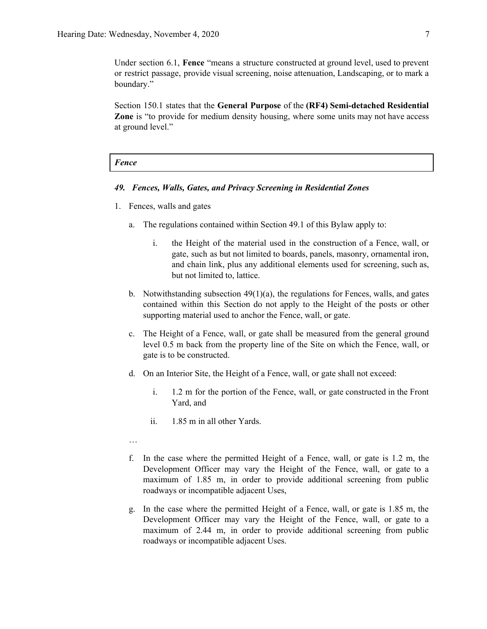Under section 6.1, **Fence** "means a structure constructed at ground level, used to prevent or restrict passage, provide visual screening, noise attenuation, Landscaping, or to mark a boundary."

Section 150.1 states that the **General Purpose** of the **(RF4) Semi-detached Residential Zone** is "to provide for medium density housing, where some units may not have access at ground level."

#### *Fence*

#### *49. Fences, Walls, Gates, and Privacy Screening in Residential Zones*

- 1. Fences, walls and gates
	- a. The regulations contained within Section 49.1 of this Bylaw apply to:
		- i. the Height of the material used in the construction of a Fence, wall, or gate, such as but not limited to boards, panels, masonry, ornamental iron, and chain link, plus any additional elements used for screening, such as, but not limited to, lattice.
	- b. Notwithstanding subsection  $49(1)(a)$ , the regulations for Fences, walls, and gates contained within this Section do not apply to the Height of the posts or other supporting material used to anchor the Fence, wall, or gate.
	- c. The Height of a Fence, wall, or gate shall be measured from the general ground level 0.5 m back from the property line of the Site on which the Fence, wall, or gate is to be constructed.
	- d. On an Interior Site, the Height of a Fence, wall, or gate shall not exceed:
		- i. 1.2 m for the portion of the Fence, wall, or gate constructed in the Front Yard, and
		- ii. 1.85 m in all other Yards.
	- …
	- f. In the case where the permitted Height of a Fence, wall, or gate is 1.2 m, the Development Officer may vary the Height of the Fence, wall, or gate to a maximum of 1.85 m, in order to provide additional screening from public roadways or incompatible adjacent Uses,
	- g. In the case where the permitted Height of a Fence, wall, or gate is 1.85 m, the Development Officer may vary the Height of the Fence, wall, or gate to a maximum of 2.44 m, in order to provide additional screening from public roadways or incompatible adjacent Uses.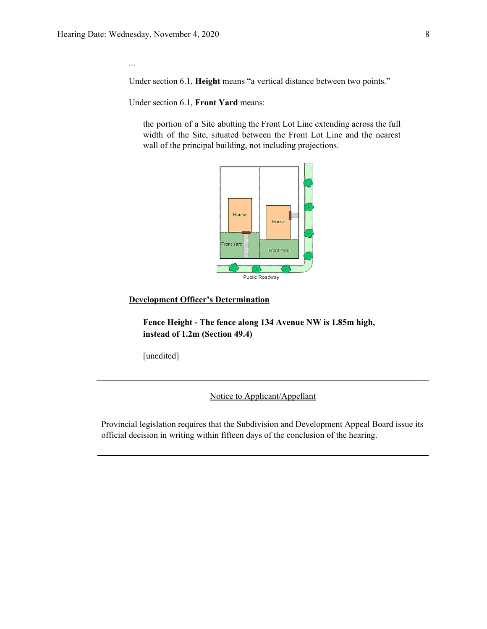...

Under section 6.1, **Height** means "a vertical distance between two points."

Under section 6.1, **Front Yard** means:

the portion of a Site abutting the Front Lot Line extending across the full width of the Site, situated between the Front Lot Line and the nearest wall of the principal building, not including projections.



#### **Development Officer's Determination**

**Fence Height - The fence along 134 Avenue NW is 1.85m high, instead of 1.2m (Section 49.4)**

[unedited]

Notice to Applicant/Appellant

 $\mathcal{L}_\mathcal{L} = \{ \mathcal{L}_\mathcal{L} = \{ \mathcal{L}_\mathcal{L} = \{ \mathcal{L}_\mathcal{L} = \{ \mathcal{L}_\mathcal{L} = \{ \mathcal{L}_\mathcal{L} = \{ \mathcal{L}_\mathcal{L} = \{ \mathcal{L}_\mathcal{L} = \{ \mathcal{L}_\mathcal{L} = \{ \mathcal{L}_\mathcal{L} = \{ \mathcal{L}_\mathcal{L} = \{ \mathcal{L}_\mathcal{L} = \{ \mathcal{L}_\mathcal{L} = \{ \mathcal{L}_\mathcal{L} = \{ \mathcal{L}_\mathcal{$ 

Provincial legislation requires that the Subdivision and Development Appeal Board issue its official decision in writing within fifteen days of the conclusion of the hearing.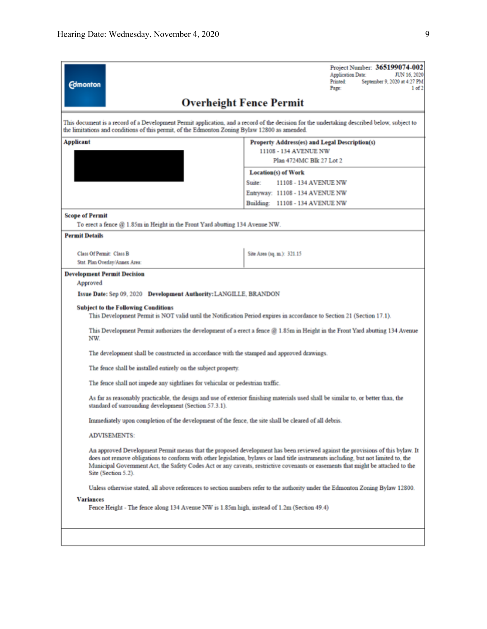| <b>Edmonton</b>                                                                                                                                                                                                                              | Project Number: 365199074-002<br>Application Date:<br>JUN 16, 2020<br><b>Printed:</b><br>September 9, 2020 at 4:27 PM<br>1 of 2<br>Page:                                                                                                                                                                                                                                                               |
|----------------------------------------------------------------------------------------------------------------------------------------------------------------------------------------------------------------------------------------------|--------------------------------------------------------------------------------------------------------------------------------------------------------------------------------------------------------------------------------------------------------------------------------------------------------------------------------------------------------------------------------------------------------|
|                                                                                                                                                                                                                                              | <b>Overheight Fence Permit</b>                                                                                                                                                                                                                                                                                                                                                                         |
| This document is a record of a Development Permit application, and a record of the decision for the undertaking described below, subject to<br>the limitations and conditions of this permit, of the Edmonton Zoning Bylaw 12800 as amended. |                                                                                                                                                                                                                                                                                                                                                                                                        |
| Applicant                                                                                                                                                                                                                                    | Property Address(es) and Legal Description(s)<br>11108 - 134 AVENUE NW                                                                                                                                                                                                                                                                                                                                 |
|                                                                                                                                                                                                                                              | Plan 4724MC Blk 27 Lot 2                                                                                                                                                                                                                                                                                                                                                                               |
|                                                                                                                                                                                                                                              | <b>Location(s) of Work</b>                                                                                                                                                                                                                                                                                                                                                                             |
|                                                                                                                                                                                                                                              | Suite:<br>11108 - 134 AVENUE NW                                                                                                                                                                                                                                                                                                                                                                        |
|                                                                                                                                                                                                                                              | Entryway: 11108 - 134 AVENUE NW                                                                                                                                                                                                                                                                                                                                                                        |
|                                                                                                                                                                                                                                              | Building: 11108 - 134 AVENUE NW                                                                                                                                                                                                                                                                                                                                                                        |
| <b>Scope of Permit</b>                                                                                                                                                                                                                       |                                                                                                                                                                                                                                                                                                                                                                                                        |
| To erect a fence @ 1.85m in Height in the Front Yard abutting 134 Avenue NW.                                                                                                                                                                 |                                                                                                                                                                                                                                                                                                                                                                                                        |
| <b>Permit Details</b>                                                                                                                                                                                                                        |                                                                                                                                                                                                                                                                                                                                                                                                        |
| <b>Class Of Permit: Class B</b>                                                                                                                                                                                                              | Site Area (sq. m.): 321.15                                                                                                                                                                                                                                                                                                                                                                             |
| Stat. Plan Overlay/Annex Area:                                                                                                                                                                                                               |                                                                                                                                                                                                                                                                                                                                                                                                        |
| <b>Development Permit Decision</b>                                                                                                                                                                                                           |                                                                                                                                                                                                                                                                                                                                                                                                        |
| Approved                                                                                                                                                                                                                                     |                                                                                                                                                                                                                                                                                                                                                                                                        |
| Issue Date: Sep 09, 2020 Development Authority: LANGILLE, BRANDON                                                                                                                                                                            |                                                                                                                                                                                                                                                                                                                                                                                                        |
| <b>Subject to the Following Conditions</b><br>This Development Permit is NOT valid until the Notification Period expires in accordance to Section 21 (Section 17.1).                                                                         |                                                                                                                                                                                                                                                                                                                                                                                                        |
| NW.                                                                                                                                                                                                                                          | This Development Permit authorizes the development of a erect a fence $@1.85m$ in Height in the Front Yard abutting 134 Avenue                                                                                                                                                                                                                                                                         |
| The development shall be constructed in accordance with the stamped and approved drawings.                                                                                                                                                   |                                                                                                                                                                                                                                                                                                                                                                                                        |
| The fence shall be installed entirely on the subject property.                                                                                                                                                                               |                                                                                                                                                                                                                                                                                                                                                                                                        |
| The fence shall not impede any sightlines for vehicular or pedestrian traffic.                                                                                                                                                               |                                                                                                                                                                                                                                                                                                                                                                                                        |
| standard of surrounding development (Section 57.3.1).                                                                                                                                                                                        | As far as reasonably practicable, the design and use of exterior finishing materials used shall be similar to, or better than, the                                                                                                                                                                                                                                                                     |
| Immediately upon completion of the development of the fence, the site shall be cleared of all debris.                                                                                                                                        |                                                                                                                                                                                                                                                                                                                                                                                                        |
| <b>ADVISEMENTS:</b>                                                                                                                                                                                                                          |                                                                                                                                                                                                                                                                                                                                                                                                        |
| Site (Section 5.2).                                                                                                                                                                                                                          | An approved Development Permit means that the proposed development has been reviewed against the provisions of this bylaw. It<br>does not remove obligations to conform with other legislation, bylaws or land title instruments including, but not limited to, the<br>Municipal Government Act, the Safety Codes Act or any caveats, restrictive covenants or easements that might be attached to the |
|                                                                                                                                                                                                                                              | Unless otherwise stated, all above references to section numbers refer to the authority under the Edmonton Zoning Bylaw 12800.                                                                                                                                                                                                                                                                         |
| Variances<br>Fence Height - The fence along 134 Avenue NW is 1.85m high, instead of 1.2m (Section 49.4)                                                                                                                                      |                                                                                                                                                                                                                                                                                                                                                                                                        |
|                                                                                                                                                                                                                                              |                                                                                                                                                                                                                                                                                                                                                                                                        |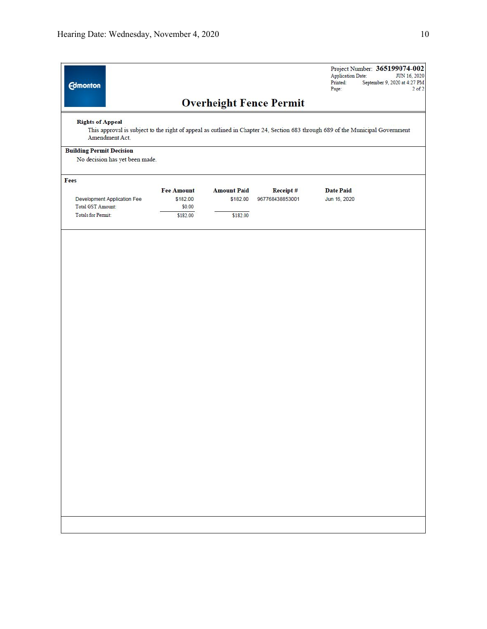| <b>Edmonton</b>                                                   |                                                                                                                                |                    |                                | Project Number: 365199074-002<br><b>Application Date:</b><br>JUN 16, 2020<br>Printed:<br>September 9, 2020 at 4:27 PM<br>Page:<br>$2$ of $2$ |
|-------------------------------------------------------------------|--------------------------------------------------------------------------------------------------------------------------------|--------------------|--------------------------------|----------------------------------------------------------------------------------------------------------------------------------------------|
|                                                                   |                                                                                                                                |                    | <b>Overheight Fence Permit</b> |                                                                                                                                              |
| <b>Rights of Appeal</b><br>Amendment Act.                         | This approval is subject to the right of appeal as outlined in Chapter 24, Section 683 through 689 of the Municipal Government |                    |                                |                                                                                                                                              |
| <b>Building Permit Decision</b><br>No decision has yet been made. |                                                                                                                                |                    |                                |                                                                                                                                              |
| Fees                                                              |                                                                                                                                |                    |                                |                                                                                                                                              |
|                                                                   | <b>Fee Amount</b>                                                                                                              | <b>Amount Paid</b> | Receipt#                       | <b>Date Paid</b>                                                                                                                             |
| Development Application Fee                                       | \$182.00                                                                                                                       | \$182.00           | 967768438853001                | Jun 16, 2020                                                                                                                                 |
| Total GST Amount:                                                 | \$0.00                                                                                                                         |                    |                                |                                                                                                                                              |
| <b>Totals for Permit:</b>                                         | \$182.00                                                                                                                       | \$182.00           |                                |                                                                                                                                              |
|                                                                   |                                                                                                                                |                    |                                |                                                                                                                                              |
|                                                                   |                                                                                                                                |                    |                                |                                                                                                                                              |
|                                                                   |                                                                                                                                |                    |                                |                                                                                                                                              |
|                                                                   |                                                                                                                                |                    |                                |                                                                                                                                              |
|                                                                   |                                                                                                                                |                    |                                |                                                                                                                                              |
|                                                                   |                                                                                                                                |                    |                                |                                                                                                                                              |
|                                                                   |                                                                                                                                |                    |                                |                                                                                                                                              |
|                                                                   |                                                                                                                                |                    |                                |                                                                                                                                              |
|                                                                   |                                                                                                                                |                    |                                |                                                                                                                                              |
|                                                                   |                                                                                                                                |                    |                                |                                                                                                                                              |
|                                                                   |                                                                                                                                |                    |                                |                                                                                                                                              |
|                                                                   |                                                                                                                                |                    |                                |                                                                                                                                              |
|                                                                   |                                                                                                                                |                    |                                |                                                                                                                                              |
|                                                                   |                                                                                                                                |                    |                                |                                                                                                                                              |
|                                                                   |                                                                                                                                |                    |                                |                                                                                                                                              |
|                                                                   |                                                                                                                                |                    |                                |                                                                                                                                              |
|                                                                   |                                                                                                                                |                    |                                |                                                                                                                                              |
|                                                                   |                                                                                                                                |                    |                                |                                                                                                                                              |
|                                                                   |                                                                                                                                |                    |                                |                                                                                                                                              |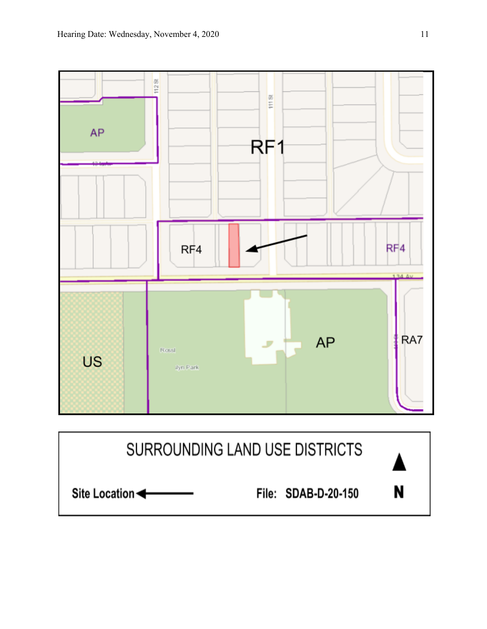

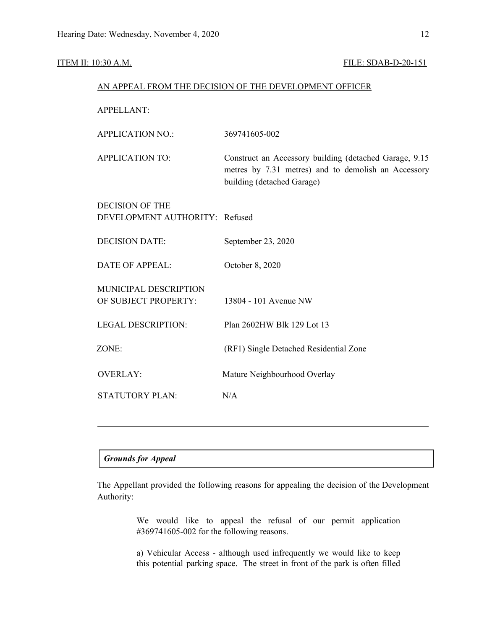#### ITEM II: 10:30 A.M. **FILE: SDAB-D-20-151**

|                                                          | AN APPEAL FROM THE DECISION OF THE DEVELOPMENT OFFICER                                                                                       |
|----------------------------------------------------------|----------------------------------------------------------------------------------------------------------------------------------------------|
| <b>APPELLANT:</b>                                        |                                                                                                                                              |
| <b>APPLICATION NO.:</b>                                  | 369741605-002                                                                                                                                |
| <b>APPLICATION TO:</b>                                   | Construct an Accessory building (detached Garage, 9.15)<br>metres by 7.31 metres) and to demolish an Accessory<br>building (detached Garage) |
| <b>DECISION OF THE</b><br>DEVELOPMENT AUTHORITY: Refused |                                                                                                                                              |
| <b>DECISION DATE:</b>                                    | September 23, 2020                                                                                                                           |
| <b>DATE OF APPEAL:</b>                                   | October 8, 2020                                                                                                                              |
| MUNICIPAL DESCRIPTION<br>OF SUBJECT PROPERTY:            | 13804 - 101 Avenue NW                                                                                                                        |
| <b>LEGAL DESCRIPTION:</b>                                | Plan 2602HW Blk 129 Lot 13                                                                                                                   |
| ZONE:                                                    | (RF1) Single Detached Residential Zone                                                                                                       |
| <b>OVERLAY:</b>                                          | Mature Neighbourhood Overlay                                                                                                                 |
| <b>STATUTORY PLAN:</b>                                   | N/A                                                                                                                                          |
|                                                          |                                                                                                                                              |

#### *Grounds for Appeal*

The Appellant provided the following reasons for appealing the decision of the Development Authority:

> We would like to appeal the refusal of our permit application #369741605-002 for the following reasons.

> a) Vehicular Access - although used infrequently we would like to keep this potential parking space. The street in front of the park is often filled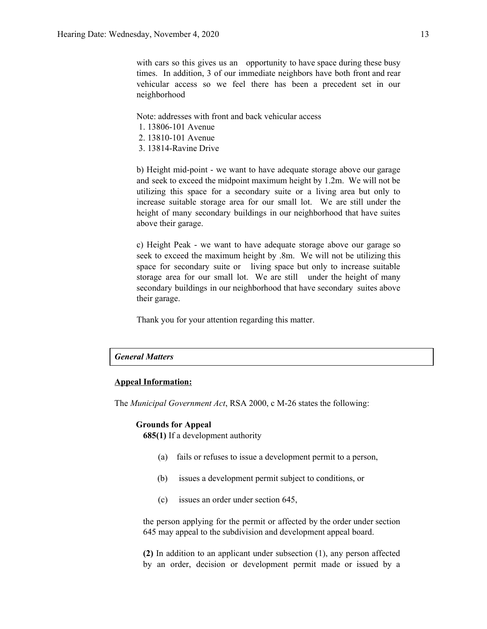with cars so this gives us an opportunity to have space during these busy times. In addition, 3 of our immediate neighbors have both front and rear vehicular access so we feel there has been a precedent set in our neighborhood

Note: addresses with front and back vehicular access

- 1. 13806-101 Avenue
- 2. 13810-101 Avenue
- 3. 13814-Ravine Drive

b) Height mid-point - we want to have adequate storage above our garage and seek to exceed the midpoint maximum height by 1.2m. We will not be utilizing this space for a secondary suite or a living area but only to increase suitable storage area for our small lot. We are still under the height of many secondary buildings in our neighborhood that have suites above their garage.

c) Height Peak - we want to have adequate storage above our garage so seek to exceed the maximum height by .8m. We will not be utilizing this space for secondary suite or living space but only to increase suitable storage area for our small lot. We are still under the height of many secondary buildings in our neighborhood that have secondary suites above their garage.

Thank you for your attention regarding this matter.

#### *General Matters*

#### **Appeal Information:**

The *Municipal Government Act*, RSA 2000, c M-26 states the following:

#### **Grounds for Appeal**

**685(1)** If a development authority

- (a) fails or refuses to issue a development permit to a person,
- (b) issues a development permit subject to conditions, or
- (c) issues an order under section 645,

the person applying for the permit or affected by the order under section 645 may appeal to the subdivision and development appeal board.

**(2)** In addition to an applicant under subsection (1), any person affected by an order, decision or development permit made or issued by a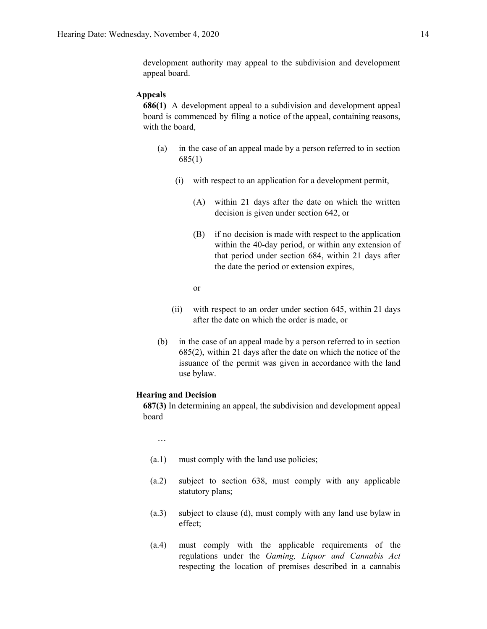development authority may appeal to the subdivision and development appeal board.

#### **Appeals**

**686(1)** A development appeal to a subdivision and development appeal board is commenced by filing a notice of the appeal, containing reasons, with the board,

- (a) in the case of an appeal made by a person referred to in section 685(1)
	- (i) with respect to an application for a development permit,
		- (A) within 21 days after the date on which the written decision is given under section 642, or
		- (B) if no decision is made with respect to the application within the 40-day period, or within any extension of that period under section 684, within 21 days after the date the period or extension expires,
		- or
	- (ii) with respect to an order under section 645, within 21 days after the date on which the order is made, or
- (b) in the case of an appeal made by a person referred to in section 685(2), within 21 days after the date on which the notice of the issuance of the permit was given in accordance with the land use bylaw.

#### **Hearing and Decision**

**687(3)** In determining an appeal, the subdivision and development appeal board

…

- (a.1) must comply with the land use policies;
- (a.2) subject to section 638, must comply with any applicable statutory plans;
- (a.3) subject to clause (d), must comply with any land use bylaw in effect;
- (a.4) must comply with the applicable requirements of the regulations under the *Gaming, Liquor and Cannabis Act* respecting the location of premises described in a cannabis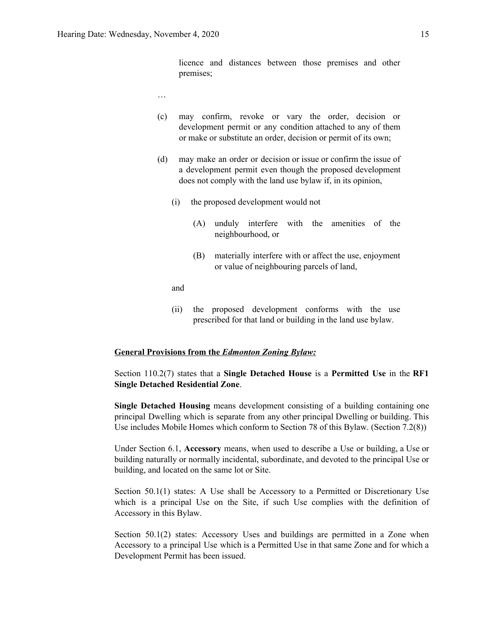licence and distances between those premises and other premises;

- …
- (c) may confirm, revoke or vary the order, decision or development permit or any condition attached to any of them or make or substitute an order, decision or permit of its own;
- (d) may make an order or decision or issue or confirm the issue of a development permit even though the proposed development does not comply with the land use bylaw if, in its opinion,
	- (i) the proposed development would not
		- (A) unduly interfere with the amenities of the neighbourhood, or
		- (B) materially interfere with or affect the use, enjoyment or value of neighbouring parcels of land,

and

(ii) the proposed development conforms with the use prescribed for that land or building in the land use bylaw.

#### **General Provisions from the** *Edmonton Zoning Bylaw:*

Section 110.2(7) states that a **Single Detached House** is a **Permitted Use** in the **RF1 Single Detached Residential Zone**.

**Single Detached Housing** means development consisting of a building containing one principal Dwelling which is separate from any other principal Dwelling or building. This Use includes Mobile Homes which conform to Section 78 of this Bylaw. (Section 7.2(8))

Under Section 6.1, **Accessory** means, when used to describe a Use or building, a Use or building naturally or normally incidental, subordinate, and devoted to the principal Use or building, and located on the same lot or Site.

Section 50.1(1) states: A Use shall be Accessory to a Permitted or Discretionary Use which is a principal Use on the Site, if such Use complies with the definition of Accessory in this Bylaw.

Section 50.1(2) states: Accessory Uses and buildings are permitted in a Zone when Accessory to a principal Use which is a Permitted Use in that same Zone and for which a Development Permit has been issued.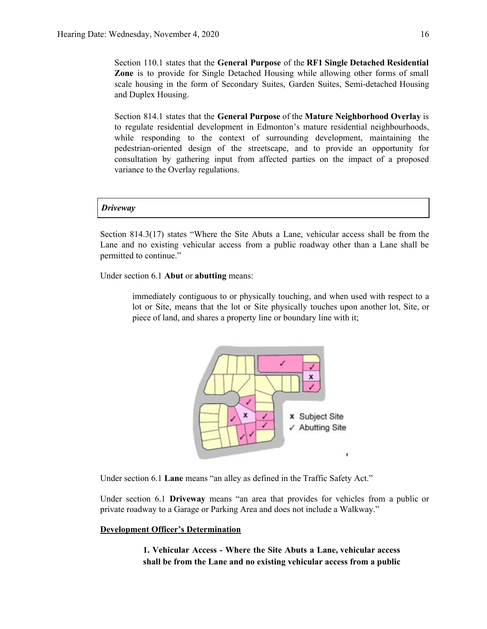Section 110.1 states that the **General Purpose** of the **RF1 Single Detached Residential Zone** is to provide for Single Detached Housing while allowing other forms of small scale housing in the form of Secondary Suites, Garden Suites, Semi-detached Housing and Duplex Housing.

Section 814.1 states that the **General Purpose** of the **Mature Neighborhood Overlay** is to regulate residential development in Edmonton's mature residential neighbourhoods, while responding to the context of surrounding development, maintaining the pedestrian-oriented design of the streetscape, and to provide an opportunity for consultation by gathering input from affected parties on the impact of a proposed variance to the Overlay regulations.

#### *Driveway*

Section 814.3(17) states "Where the Site Abuts a Lane, vehicular access shall be from the Lane and no existing vehicular access from a public roadway other than a Lane shall be permitted to continue."

Under section 6.1 **Abut** or **abutting** means:

immediately contiguous to or physically touching, and when used with respect to a lot or Site, means that the lot or Site physically touches upon another lot, Site, or piece of land, and shares a property line or boundary line with it;



Under section 6.1 **Lane** means "an alley as defined in the Traffic Safety Act."

Under section 6.1 **Driveway** means "an area that provides for vehicles from a public or private roadway to a Garage or Parking Area and does not include a Walkway."

#### **Development Officer's Determination**

**1. Vehicular Access - Where the Site Abuts a Lane, vehicular access shall be from the Lane and no existing vehicular access from a public**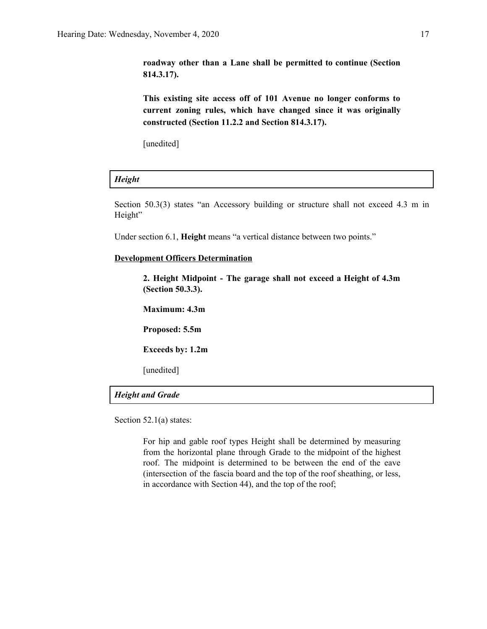**roadway other than a Lane shall be permitted to continue (Section 814.3.17).**

**This existing site access off of 101 Avenue no longer conforms to current zoning rules, which have changed since it was originally constructed (Section 11.2.2 and Section 814.3.17).**

[unedited]

#### *Height*

Section 50.3(3) states "an Accessory building or structure shall not exceed 4.3 m in Height"

Under section 6.1, **Height** means "a vertical distance between two points."

#### **Development Officers Determination**

**2. Height Midpoint - The garage shall not exceed a Height of 4.3m (Section 50.3.3).**

**Maximum: 4.3m**

**Proposed: 5.5m**

**Exceeds by: 1.2m**

[unedited]

#### *Height and Grade*

Section 52.1(a) states:

For hip and gable roof types Height shall be determined by measuring from the horizontal plane through Grade to the midpoint of the highest roof. The midpoint is determined to be between the end of the eave (intersection of the fascia board and the top of the roof sheathing, or less, in accordance with Section 44), and the top of the roof;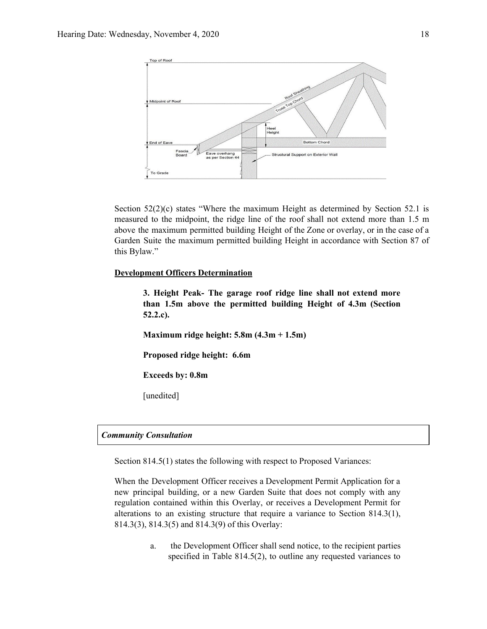

Section  $52(2)(c)$  states "Where the maximum Height as determined by Section 52.1 is measured to the midpoint, the ridge line of the roof shall not extend more than 1.5 m above the maximum permitted building Height of the Zone or overlay, or in the case of a Garden Suite the maximum permitted building Height in accordance with Section 87 of this Bylaw."

#### **Development Officers Determination**

**3. Height Peak- The garage roof ridge line shall not extend more than 1.5m above the permitted building Height of 4.3m (Section 52.2.c).**

**Maximum ridge height: 5.8m (4.3m + 1.5m)**

**Proposed ridge height: 6.6m**

**Exceeds by: 0.8m**

[unedited]

#### *Community Consultation*

Section 814.5(1) states the following with respect to Proposed Variances:

When the Development Officer receives a Development Permit Application for a new principal building, or a new Garden Suite that does not comply with any regulation contained within this Overlay, or receives a Development Permit for alterations to an existing structure that require a variance to Section 814.3(1), 814.3(3), 814.3(5) and 814.3(9) of this Overlay:

> a. the Development Officer shall send notice, to the recipient parties specified in Table 814.5(2), to outline any requested variances to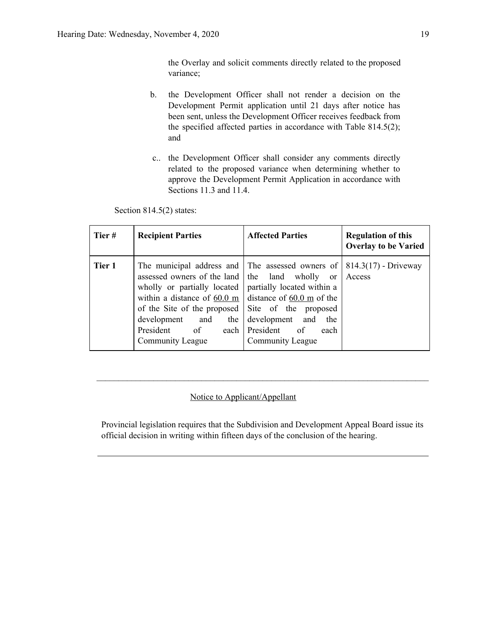the Overlay and solicit comments directly related to the proposed variance;

- b. the Development Officer shall not render a decision on the Development Permit application until 21 days after notice has been sent, unless the Development Officer receives feedback from the specified affected parties in accordance with Table 814.5(2); and
- c.. the Development Officer shall consider any comments directly related to the proposed variance when determining whether to approve the Development Permit Application in accordance with Sections 11.3 and 11.4.

Section 814.5(2) states:

| Tier#  | <b>Recipient Parties</b>                                                                                                                                                                                                                                                                                                              | <b>Affected Parties</b>                                                                                                                               | <b>Regulation of this</b><br><b>Overlay to be Varied</b> |
|--------|---------------------------------------------------------------------------------------------------------------------------------------------------------------------------------------------------------------------------------------------------------------------------------------------------------------------------------------|-------------------------------------------------------------------------------------------------------------------------------------------------------|----------------------------------------------------------|
| Tier 1 | The municipal address and $\vert$ The assessed owners of $\vert$ 814.3(17) - Driveway<br>assessed owners of the land<br>wholly or partially located<br>within a distance of $60.0 \text{ m}$ distance of $60.0 \text{ m}$ of the<br>of the Site of the proposed<br>development and<br>the<br>President of<br>each<br>Community League | the land wholly or<br>partially located within a<br>Site of the proposed<br>development and<br>the<br>President of<br>each<br><b>Community League</b> | Access                                                   |

#### Notice to Applicant/Appellant

Provincial legislation requires that the Subdivision and Development Appeal Board issue its official decision in writing within fifteen days of the conclusion of the hearing.

 $\mathcal{L}_\mathcal{L} = \{ \mathcal{L}_\mathcal{L} = \{ \mathcal{L}_\mathcal{L} = \{ \mathcal{L}_\mathcal{L} = \{ \mathcal{L}_\mathcal{L} = \{ \mathcal{L}_\mathcal{L} = \{ \mathcal{L}_\mathcal{L} = \{ \mathcal{L}_\mathcal{L} = \{ \mathcal{L}_\mathcal{L} = \{ \mathcal{L}_\mathcal{L} = \{ \mathcal{L}_\mathcal{L} = \{ \mathcal{L}_\mathcal{L} = \{ \mathcal{L}_\mathcal{L} = \{ \mathcal{L}_\mathcal{L} = \{ \mathcal{L}_\mathcal{$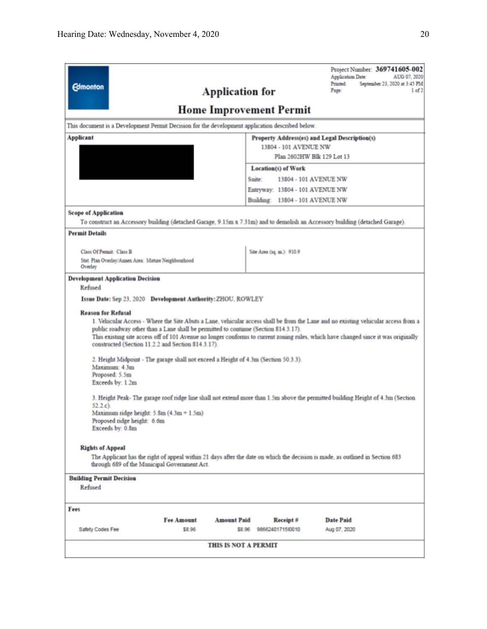| <b>Edmonton</b><br><b>Application for</b>                                                                                                                                                                                                                                                                                                                                                                                                                                                                      | Project Number: 369741605-002<br>Application Date:<br>AUG 07, 2020<br>Printed:<br>September 23, 2020 at 3:45 PM<br>Page:<br>1 of 2                                                                                                                                                                                                                                                                          |
|----------------------------------------------------------------------------------------------------------------------------------------------------------------------------------------------------------------------------------------------------------------------------------------------------------------------------------------------------------------------------------------------------------------------------------------------------------------------------------------------------------------|-------------------------------------------------------------------------------------------------------------------------------------------------------------------------------------------------------------------------------------------------------------------------------------------------------------------------------------------------------------------------------------------------------------|
|                                                                                                                                                                                                                                                                                                                                                                                                                                                                                                                | <b>Home Improvement Permit</b>                                                                                                                                                                                                                                                                                                                                                                              |
| This document is a Development Permit Decision for the development application described below.                                                                                                                                                                                                                                                                                                                                                                                                                |                                                                                                                                                                                                                                                                                                                                                                                                             |
| Applicant                                                                                                                                                                                                                                                                                                                                                                                                                                                                                                      | <b>Property Address(es) and Legal Description(s)</b>                                                                                                                                                                                                                                                                                                                                                        |
|                                                                                                                                                                                                                                                                                                                                                                                                                                                                                                                | 13804 - 101 AVENUE NW<br>Plan 2602HW Blk 129 Lot 13                                                                                                                                                                                                                                                                                                                                                         |
|                                                                                                                                                                                                                                                                                                                                                                                                                                                                                                                | <b>Location(s)</b> of Work                                                                                                                                                                                                                                                                                                                                                                                  |
|                                                                                                                                                                                                                                                                                                                                                                                                                                                                                                                | Suite:<br>13804 - 101 AVENUE NW                                                                                                                                                                                                                                                                                                                                                                             |
|                                                                                                                                                                                                                                                                                                                                                                                                                                                                                                                | Entryway: 13804 - 101 AVENUE NW                                                                                                                                                                                                                                                                                                                                                                             |
|                                                                                                                                                                                                                                                                                                                                                                                                                                                                                                                | Building: 13804 - 101 AVENUE NW                                                                                                                                                                                                                                                                                                                                                                             |
| <b>Scope of Application</b>                                                                                                                                                                                                                                                                                                                                                                                                                                                                                    |                                                                                                                                                                                                                                                                                                                                                                                                             |
| To construct an Accessory building (detached Garage, 9.15m x 7.31m) and to demolish an Accessory building (detached Garage).                                                                                                                                                                                                                                                                                                                                                                                   |                                                                                                                                                                                                                                                                                                                                                                                                             |
| <b>Permit Details</b>                                                                                                                                                                                                                                                                                                                                                                                                                                                                                          |                                                                                                                                                                                                                                                                                                                                                                                                             |
| Class Of Permit: Class B                                                                                                                                                                                                                                                                                                                                                                                                                                                                                       | Site Area (sq. m.): 910.9                                                                                                                                                                                                                                                                                                                                                                                   |
| Stat. Plan Overlay/Annex Area: Mature Neighbourhood                                                                                                                                                                                                                                                                                                                                                                                                                                                            |                                                                                                                                                                                                                                                                                                                                                                                                             |
| Overlay<br><b>Development Application Decision</b>                                                                                                                                                                                                                                                                                                                                                                                                                                                             |                                                                                                                                                                                                                                                                                                                                                                                                             |
| Refused<br>Issue Date: Sep 23, 2020 Development Authority: ZHOU, ROWLEY<br><b>Reason for Refusal</b><br>public roadway other than a Lane shall be permitted to continue (Section 814.3.17).<br>constructed (Section 11.2.2 and Section 814.3.17).<br>2. Height Midpoint - The garage shall not exceed a Height of 4.3m (Section 50.3.3).<br>Maximum: 4.3m<br>Proposed: 5.5m<br>Exceeds by: 1.2m<br>$52.2.c$ ).<br>Maximum ridge height: $5.8m(4.3m + 1.5m)$<br>Proposed ridge height: 6.6m<br>Exceeds by: 0.8m | 1. Vehicular Access - Where the Site Abuts a Lane, vehicular access shall be from the Lane and no existing vehicular access from a<br>This existing site access off of 101 Avenue no longer conforms to current zoning rules, which have changed since it was originally<br>3. Height Peak- The garage roof ridge line shall not extend more than 1.5m above the permitted building Height of 4.3m (Section |
| <b>Rights of Appeal</b><br>through 689 of the Municipal Government Act.<br><b>Building Permit Decision</b><br>Refused                                                                                                                                                                                                                                                                                                                                                                                          | The Applicant has the right of appeal within 21 days after the date on which the decision is made, as outlined in Section 683                                                                                                                                                                                                                                                                               |
| Fees                                                                                                                                                                                                                                                                                                                                                                                                                                                                                                           |                                                                                                                                                                                                                                                                                                                                                                                                             |
| <b>Fee Amount</b><br><b>Amount Paid</b>                                                                                                                                                                                                                                                                                                                                                                                                                                                                        | <b>Date Paid</b><br>Receipt#                                                                                                                                                                                                                                                                                                                                                                                |
| Safety Codes Fee<br>\$8.96<br>\$8.96                                                                                                                                                                                                                                                                                                                                                                                                                                                                           | 98662401715/0010<br>Aug 07, 2020                                                                                                                                                                                                                                                                                                                                                                            |
| <b>THIS IS NOT A PERMIT</b>                                                                                                                                                                                                                                                                                                                                                                                                                                                                                    |                                                                                                                                                                                                                                                                                                                                                                                                             |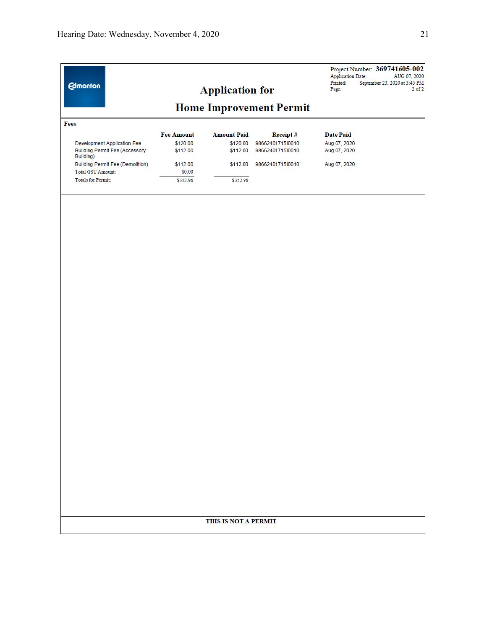| <b>Edmonton</b>                                                                   |                      | <b>Application for</b> |                                      | <b>Application Date:</b><br>Printed:<br>Page: | Project Number: 369741605-002<br>AUG 07, 2020<br>September 23, 2020 at 3:45 PM<br>$2$ of $2$ |
|-----------------------------------------------------------------------------------|----------------------|------------------------|--------------------------------------|-----------------------------------------------|----------------------------------------------------------------------------------------------|
|                                                                                   |                      |                        | <b>Home Improvement Permit</b>       |                                               |                                                                                              |
| Fees                                                                              |                      |                        |                                      |                                               |                                                                                              |
|                                                                                   | <b>Fee Amount</b>    | <b>Amount Paid</b>     | Receipt#                             | <b>Date Paid</b>                              |                                                                                              |
| Development Application Fee<br><b>Building Permit Fee (Accessory</b><br>Building) | \$120.00<br>\$112.00 | \$120.00<br>\$112.00   | 98662401715l0010<br>9866240171510010 | Aug 07, 2020<br>Aug 07, 2020                  |                                                                                              |
| Building Permit Fee (Demolition)<br>Total GST Amount:                             | \$112.00<br>\$0.00   | \$112.00               | 9866240171510010                     | Aug 07, 2020                                  |                                                                                              |
| <b>Totals for Permit:</b>                                                         | \$352.96             | \$352.96               |                                      |                                               |                                                                                              |
|                                                                                   |                      | THIS IS NOT A PERMIT   |                                      |                                               |                                                                                              |
|                                                                                   |                      |                        |                                      |                                               |                                                                                              |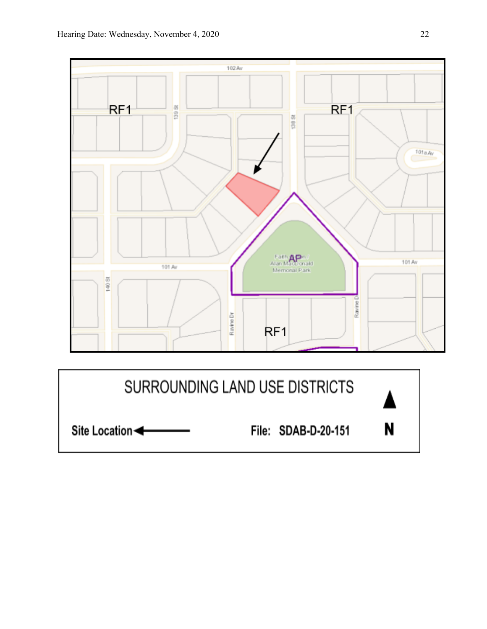



File: SDAB-D-20-151

N